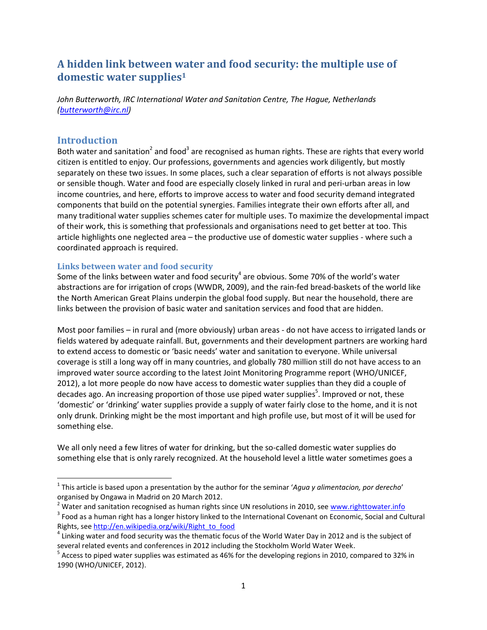# **A hidden link between water and food security: the multiple use of domestic water supplies<sup>1</sup>**

*John Butterworth, IRC International Water and Sanitation Centre, The Hague, Netherlands [\(butterworth@irc.nl\)](mailto:butterworth@irc.nl)* 

## **Introduction**

 $\overline{\phantom{a}}$ 

Both water and sanitation<sup>2</sup> and food<sup>3</sup> are recognised as human rights. These are rights that every world citizen is entitled to enjoy. Our professions, governments and agencies work diligently, but mostly separately on these two issues. In some places, such a clear separation of efforts is not always possible or sensible though. Water and food are especially closely linked in rural and peri-urban areas in low income countries, and here, efforts to improve access to water and food security demand integrated components that build on the potential synergies. Families integrate their own efforts after all, and many traditional water supplies schemes cater for multiple uses. To maximize the developmental impact of their work, this is something that professionals and organisations need to get better at too. This article highlights one neglected area – the productive use of domestic water supplies - where such a coordinated approach is required.

#### **Links between water and food security**

Some of the links between water and food security<sup>4</sup> are obvious. Some 70% of the world's water abstractions are for irrigation of crops (WWDR, 2009), and the rain-fed bread-baskets of the world like the North American Great Plains underpin the global food supply. But near the household, there are links between the provision of basic water and sanitation services and food that are hidden.

Most poor families – in rural and (more obviously) urban areas - do not have access to irrigated lands or fields watered by adequate rainfall. But, governments and their development partners are working hard to extend access to domestic or 'basic needs' water and sanitation to everyone. While universal coverage is still a long way off in many countries, and globally 780 million still do not have access to an improved water source according to the latest Joint Monitoring Programme report (WHO/UNICEF, 2012), a lot more people do now have access to domestic water supplies than they did a couple of decades ago. An increasing proportion of those use piped water supplies<sup>5</sup>. Improved or not, these 'domestic' or 'drinking' water supplies provide a supply of water fairly close to the home, and it is not only drunk. Drinking might be the most important and high profile use, but most of it will be used for something else.

We all only need a few litres of water for drinking, but the so-called domestic water supplies do something else that is only rarely recognized. At the household level a little water sometimes goes a

<sup>1</sup> This article is based upon a presentation by the author for the seminar '*Agua y alimentacion, por derecho*' organised by Ongawa in Madrid on 20 March 2012.

<sup>&</sup>lt;sup>2</sup> Water and sanitation recognised as human rights since UN resolutions in 2010, see [www.righttowater.info](http://www.righttowater.info/)

 $^3$  Food as a human right has a longer history linked to the International Covenant on Economic, Social and Cultural Rights, see [http://en.wikipedia.org/wiki/Right\\_to\\_food](http://en.wikipedia.org/wiki/Right_to_food)

<sup>&</sup>lt;sup>4</sup> Linking water and food security was the thematic focus of the World Water Day in 2012 and is the subject of several related events and conferences in 2012 including the Stockholm World Water Week.

 $^5$  Access to piped water supplies was estimated as 46% for the developing regions in 2010, compared to 32% in 1990 (WHO/UNICEF, 2012).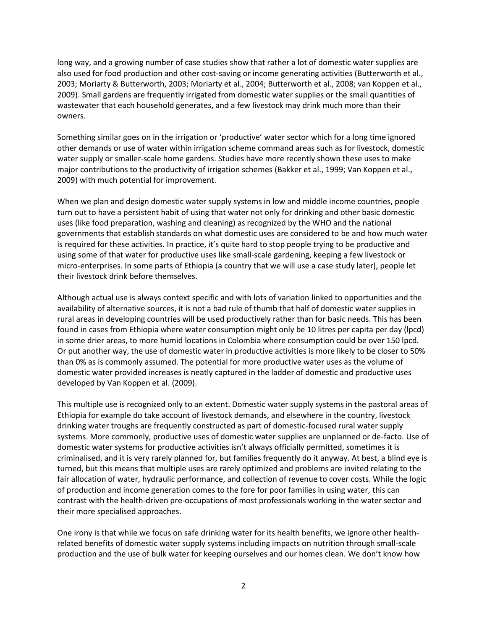long way, and a growing number of case studies show that rather a lot of domestic water supplies are also used for food production and other cost-saving or income generating activities (Butterworth et al., 2003; Moriarty & Butterworth, 2003; Moriarty et al., 2004; Butterworth et al., 2008; van Koppen et al., 2009). Small gardens are frequently irrigated from domestic water supplies or the small quantities of wastewater that each household generates, and a few livestock may drink much more than their owners.

Something similar goes on in the irrigation or 'productive' water sector which for a long time ignored other demands or use of water within irrigation scheme command areas such as for livestock, domestic water supply or smaller-scale home gardens. Studies have more recently shown these uses to make major contributions to the productivity of irrigation schemes (Bakker et al., 1999; Van Koppen et al., 2009) with much potential for improvement.

When we plan and design domestic water supply systems in low and middle income countries, people turn out to have a persistent habit of using that water not only for drinking and other basic domestic uses (like food preparation, washing and cleaning) as recognized by the WHO and the national governments that establish standards on what domestic uses are considered to be and how much water is required for these activities. In practice, it's quite hard to stop people trying to be productive and using some of that water for productive uses like small-scale gardening, keeping a few livestock or micro-enterprises. In some parts of Ethiopia (a country that we will use a case study later), people let their livestock drink before themselves.

Although actual use is always context specific and with lots of variation linked to opportunities and the availability of alternative sources, it is not a bad rule of thumb that half of domestic water supplies in rural areas in developing countries will be used productively rather than for basic needs. This has been found in cases from Ethiopia where water consumption might only be 10 litres per capita per day (lpcd) in some drier areas, to more humid locations in Colombia where consumption could be over 150 lpcd. Or put another way, the use of domestic water in productive activities is more likely to be closer to 50% than 0% as is commonly assumed. The potential for more productive water uses as the volume of domestic water provided increases is neatly captured in the ladder of domestic and productive uses developed by Van Koppen et al. (2009).

This multiple use is recognized only to an extent. Domestic water supply systems in the pastoral areas of Ethiopia for example do take account of livestock demands, and elsewhere in the country, livestock drinking water troughs are frequently constructed as part of domestic-focused rural water supply systems. More commonly, productive uses of domestic water supplies are unplanned or de-facto. Use of domestic water systems for productive activities isn't always officially permitted, sometimes it is criminalised, and it is very rarely planned for, but families frequently do it anyway. At best, a blind eye is turned, but this means that multiple uses are rarely optimized and problems are invited relating to the fair allocation of water, hydraulic performance, and collection of revenue to cover costs. While the logic of production and income generation comes to the fore for poor families in using water, this can contrast with the health-driven pre-occupations of most professionals working in the water sector and their more specialised approaches.

One irony is that while we focus on safe drinking water for its health benefits, we ignore other healthrelated benefits of domestic water supply systems including impacts on nutrition through small-scale production and the use of bulk water for keeping ourselves and our homes clean. We don't know how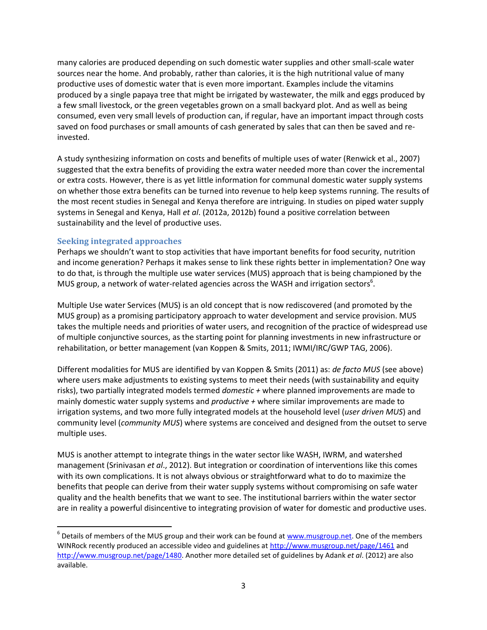many calories are produced depending on such domestic water supplies and other small-scale water sources near the home. And probably, rather than calories, it is the high nutritional value of many productive uses of domestic water that is even more important. Examples include the vitamins produced by a single papaya tree that might be irrigated by wastewater, the milk and eggs produced by a few small livestock, or the green vegetables grown on a small backyard plot. And as well as being consumed, even very small levels of production can, if regular, have an important impact through costs saved on food purchases or small amounts of cash generated by sales that can then be saved and reinvested.

A study synthesizing information on costs and benefits of multiple uses of water (Renwick et al., 2007) suggested that the extra benefits of providing the extra water needed more than cover the incremental or extra costs. However, there is as yet little information for communal domestic water supply systems on whether those extra benefits can be turned into revenue to help keep systems running. The results of the most recent studies in Senegal and Kenya therefore are intriguing. In studies on piped water supply systems in Senegal and Kenya, Hall *et al*. (2012a, 2012b) found a positive correlation between sustainability and the level of productive uses.

#### **Seeking integrated approaches**

 $\overline{\phantom{a}}$ 

Perhaps we shouldn't want to stop activities that have important benefits for food security, nutrition and income generation? Perhaps it makes sense to link these rights better in implementation? One way to do that, is through the multiple use water services (MUS) approach that is being championed by the MUS group, a network of water-related agencies across the WASH and irrigation sectors<sup>6</sup>.

Multiple Use water Services (MUS) is an old concept that is now rediscovered (and promoted by the MUS group) as a promising participatory approach to water development and service provision. MUS takes the multiple needs and priorities of water users, and recognition of the practice of widespread use of multiple conjunctive sources, as the starting point for planning investments in new infrastructure or rehabilitation, or better management (van Koppen & Smits, 2011; IWMI/IRC/GWP TAG, 2006).

Different modalities for MUS are identified by van Koppen & Smits (2011) as: *de facto MUS* (see above) where users make adjustments to existing systems to meet their needs (with sustainability and equity risks), two partially integrated models termed *domestic +* where planned improvements are made to mainly domestic water supply systems and *productive +* where similar improvements are made to irrigation systems, and two more fully integrated models at the household level (*user driven MUS*) and community level (*community MUS*) where systems are conceived and designed from the outset to serve multiple uses.

MUS is another attempt to integrate things in the water sector like WASH, IWRM, and watershed management (Srinivasan *et al*., 2012). But integration or coordination of interventions like this comes with its own complications. It is not always obvious or straightforward what to do to maximize the benefits that people can derive from their water supply systems without compromising on safe water quality and the health benefits that we want to see. The institutional barriers within the water sector are in reality a powerful disincentive to integrating provision of water for domestic and productive uses.

<sup>&</sup>lt;sup>6</sup> Details of members of the MUS group and their work can be found at **www.musgroup.net**. One of the members WINRock recently produced an accessible video and guidelines a[t http://www.musgroup.net/page/1461](http://www.musgroup.net/page/1461) and [http://www.musgroup.net/page/1480.](http://www.musgroup.net/page/1480) Another more detailed set of guidelines by Adank *et al*. (2012) are also available.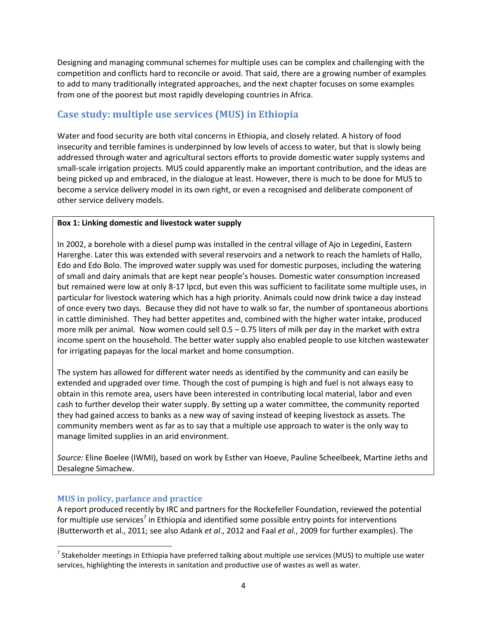Designing and managing communal schemes for multiple uses can be complex and challenging with the competition and conflicts hard to reconcile or avoid. That said, there are a growing number of examples to add to many traditionally integrated approaches, and the next chapter focuses on some examples from one of the poorest but most rapidly developing countries in Africa.

## **Case study: multiple use services (MUS) in Ethiopia**

Water and food security are both vital concerns in Ethiopia, and closely related. A history of food insecurity and terrible famines is underpinned by low levels of access to water, but that is slowly being addressed through water and agricultural sectors efforts to provide domestic water supply systems and small-scale irrigation projects. MUS could apparently make an important contribution, and the ideas are being picked up and embraced, in the dialogue at least. However, there is much to be done for MUS to become a service delivery model in its own right, or even a recognised and deliberate component of other service delivery models.

#### **Box 1: Linking domestic and livestock water supply**

In 2002, a borehole with a diesel pump was installed in the central village of Ajo in Legedini, Eastern Harerghe. Later this was extended with several reservoirs and a network to reach the hamlets of Hallo, Edo and Edo Bolo. The improved water supply was used for domestic purposes, including the watering of small and dairy animals that are kept near people's houses. Domestic water consumption increased but remained were low at only 8-17 lpcd, but even this was sufficient to facilitate some multiple uses, in particular for livestock watering which has a high priority. Animals could now drink twice a day instead of once every two days. Because they did not have to walk so far, the number of spontaneous abortions in cattle diminished. They had better appetites and, combined with the higher water intake, produced more milk per animal. Now women could sell 0.5 – 0.75 liters of milk per day in the market with extra income spent on the household. The better water supply also enabled people to use kitchen wastewater for irrigating papayas for the local market and home consumption.

The system has allowed for different water needs as identified by the community and can easily be extended and upgraded over time. Though the cost of pumping is high and fuel is not always easy to obtain in this remote area, users have been interested in contributing local material, labor and even cash to further develop their water supply. By setting up a water committee, the community reported they had gained access to banks as a new way of saving instead of keeping livestock as assets. The community members went as far as to say that a multiple use approach to water is the only way to manage limited supplies in an arid environment.

*Source:* Eline Boelee (IWMI), based on work by Esther van Hoeve, Pauline Scheelbeek, Martine Jeths and Desalegne Simachew.

## **MUS in policy, parlance and practice**

 $\overline{\phantom{a}}$ 

A report produced recently by IRC and partners for the Rockefeller Foundation, reviewed the potential for multiple use services<sup>7</sup> in Ethiopia and identified some possible entry points for interventions (Butterworth et al., 2011; see also Adank *et al*., 2012 and Faal *et al.*, 2009 for further examples). The

<sup>&</sup>lt;sup>7</sup> Stakeholder meetings in Ethiopia have preferred talking about multiple use services (MUS) to multiple use water services, highlighting the interests in sanitation and productive use of wastes as well as water.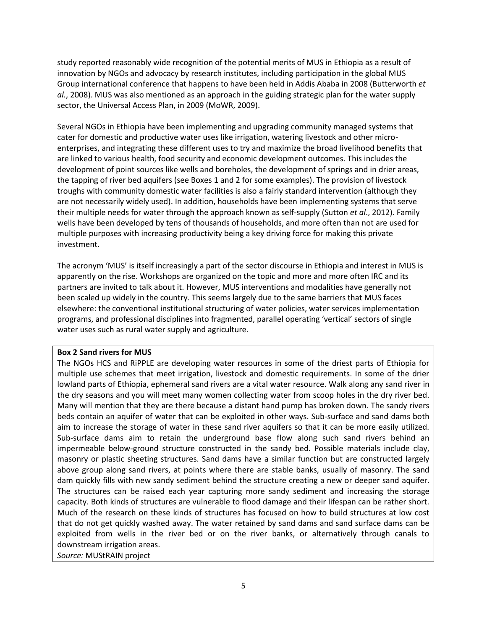study reported reasonably wide recognition of the potential merits of MUS in Ethiopia as a result of innovation by NGOs and advocacy by research institutes, including participation in the global MUS Group international conference that happens to have been held in Addis Ababa in 2008 (Butterworth *et al.*, 2008). MUS was also mentioned as an approach in the guiding strategic plan for the water supply sector, the Universal Access Plan, in 2009 (MoWR, 2009).

Several NGOs in Ethiopia have been implementing and upgrading community managed systems that cater for domestic and productive water uses like irrigation, watering livestock and other microenterprises, and integrating these different uses to try and maximize the broad livelihood benefits that are linked to various health, food security and economic development outcomes. This includes the development of point sources like wells and boreholes, the development of springs and in drier areas, the tapping of river bed aquifers (see Boxes 1 and 2 for some examples). The provision of livestock troughs with community domestic water facilities is also a fairly standard intervention (although they are not necessarily widely used). In addition, households have been implementing systems that serve their multiple needs for water through the approach known as self-supply (Sutton *et al*., 2012). Family wells have been developed by tens of thousands of households, and more often than not are used for multiple purposes with increasing productivity being a key driving force for making this private investment.

The acronym 'MUS' is itself increasingly a part of the sector discourse in Ethiopia and interest in MUS is apparently on the rise. Workshops are organized on the topic and more and more often IRC and its partners are invited to talk about it. However, MUS interventions and modalities have generally not been scaled up widely in the country. This seems largely due to the same barriers that MUS faces elsewhere: the conventional institutional structuring of water policies, water services implementation programs, and professional disciplines into fragmented, parallel operating 'vertical' sectors of single water uses such as rural water supply and agriculture.

#### **Box 2 Sand rivers for MUS**

The NGOs HCS and RiPPLE are developing water resources in some of the driest parts of Ethiopia for multiple use schemes that meet irrigation, livestock and domestic requirements. In some of the drier lowland parts of Ethiopia, ephemeral sand rivers are a vital water resource. Walk along any sand river in the dry seasons and you will meet many women collecting water from scoop holes in the dry river bed. Many will mention that they are there because a distant hand pump has broken down. The sandy rivers beds contain an aquifer of water that can be exploited in other ways. Sub-surface and sand dams both aim to increase the storage of water in these sand river aquifers so that it can be more easily utilized. Sub-surface dams aim to retain the underground base flow along such sand rivers behind an impermeable below-ground structure constructed in the sandy bed. Possible materials include clay, masonry or plastic sheeting structures. Sand dams have a similar function but are constructed largely above group along sand rivers, at points where there are stable banks, usually of masonry. The sand dam quickly fills with new sandy sediment behind the structure creating a new or deeper sand aquifer. The structures can be raised each year capturing more sandy sediment and increasing the storage capacity. Both kinds of structures are vulnerable to flood damage and their lifespan can be rather short. Much of the research on these kinds of structures has focused on how to build structures at low cost that do not get quickly washed away. The water retained by sand dams and sand surface dams can be exploited from wells in the river bed or on the river banks, or alternatively through canals to downstream irrigation areas.

*Source:* MUStRAIN project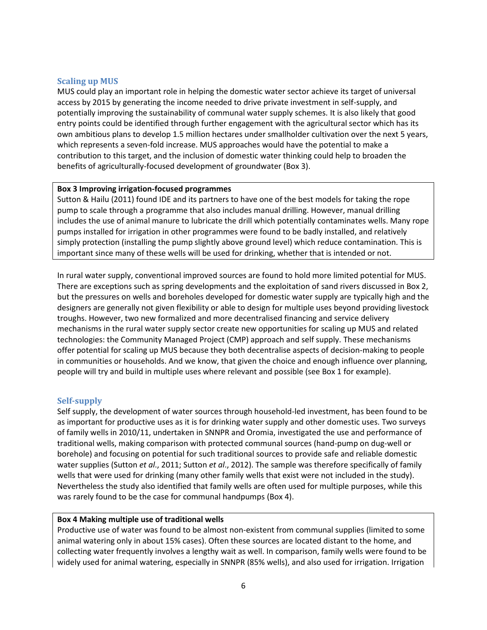#### **Scaling up MUS**

MUS could play an important role in helping the domestic water sector achieve its target of universal access by 2015 by generating the income needed to drive private investment in self-supply, and potentially improving the sustainability of communal water supply schemes. It is also likely that good entry points could be identified through further engagement with the agricultural sector which has its own ambitious plans to develop 1.5 million hectares under smallholder cultivation over the next 5 years, which represents a seven-fold increase. MUS approaches would have the potential to make a contribution to this target, and the inclusion of domestic water thinking could help to broaden the benefits of agriculturally-focused development of groundwater (Box 3).

#### **Box 3 Improving irrigation-focused programmes**

Sutton & Hailu (2011) found IDE and its partners to have one of the best models for taking the rope pump to scale through a programme that also includes manual drilling. However, manual drilling includes the use of animal manure to lubricate the drill which potentially contaminates wells. Many rope pumps installed for irrigation in other programmes were found to be badly installed, and relatively simply protection (installing the pump slightly above ground level) which reduce contamination. This is important since many of these wells will be used for drinking, whether that is intended or not.

In rural water supply, conventional improved sources are found to hold more limited potential for MUS. There are exceptions such as spring developments and the exploitation of sand rivers discussed in Box 2, but the pressures on wells and boreholes developed for domestic water supply are typically high and the designers are generally not given flexibility or able to design for multiple uses beyond providing livestock troughs. However, two new formalized and more decentralised financing and service delivery mechanisms in the rural water supply sector create new opportunities for scaling up MUS and related technologies: the Community Managed Project (CMP) approach and self supply. These mechanisms offer potential for scaling up MUS because they both decentralise aspects of decision-making to people in communities or households. And we know, that given the choice and enough influence over planning, people will try and build in multiple uses where relevant and possible (see Box 1 for example).

#### **Self-supply**

Self supply, the development of water sources through household-led investment, has been found to be as important for productive uses as it is for drinking water supply and other domestic uses. Two surveys of family wells in 2010/11, undertaken in SNNPR and Oromia, investigated the use and performance of traditional wells, making comparison with protected communal sources (hand-pump on dug-well or borehole) and focusing on potential for such traditional sources to provide safe and reliable domestic water supplies (Sutton *et al*., 2011; Sutton *et al*., 2012). The sample was therefore specifically of family wells that were used for drinking (many other family wells that exist were not included in the study). Nevertheless the study also identified that family wells are often used for multiple purposes, while this was rarely found to be the case for communal handpumps (Box 4).

#### **Box 4 Making multiple use of traditional wells**

Productive use of water was found to be almost non-existent from communal supplies (limited to some animal watering only in about 15% cases). Often these sources are located distant to the home, and collecting water frequently involves a lengthy wait as well. In comparison, family wells were found to be widely used for animal watering, especially in SNNPR (85% wells), and also used for irrigation. Irrigation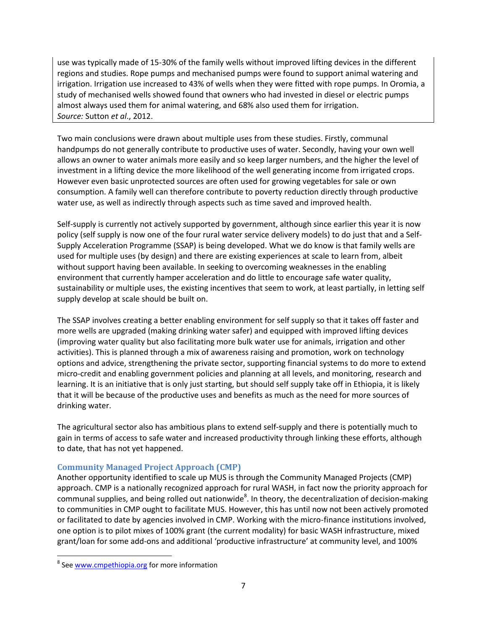use was typically made of 15-30% of the family wells without improved lifting devices in the different regions and studies. Rope pumps and mechanised pumps were found to support animal watering and irrigation. Irrigation use increased to 43% of wells when they were fitted with rope pumps. In Oromia, a study of mechanised wells showed found that owners who had invested in diesel or electric pumps almost always used them for animal watering, and 68% also used them for irrigation. *Source:* Sutton *et al*., 2012.

Two main conclusions were drawn about multiple uses from these studies. Firstly, communal handpumps do not generally contribute to productive uses of water. Secondly, having your own well allows an owner to water animals more easily and so keep larger numbers, and the higher the level of investment in a lifting device the more likelihood of the well generating income from irrigated crops. However even basic unprotected sources are often used for growing vegetables for sale or own consumption. A family well can therefore contribute to poverty reduction directly through productive water use, as well as indirectly through aspects such as time saved and improved health.

Self-supply is currently not actively supported by government, although since earlier this year it is now policy (self supply is now one of the four rural water service delivery models) to do just that and a Self-Supply Acceleration Programme (SSAP) is being developed. What we do know is that family wells are used for multiple uses (by design) and there are existing experiences at scale to learn from, albeit without support having been available. In seeking to overcoming weaknesses in the enabling environment that currently hamper acceleration and do little to encourage safe water quality, sustainability or multiple uses, the existing incentives that seem to work, at least partially, in letting self supply develop at scale should be built on.

The SSAP involves creating a better enabling environment for self supply so that it takes off faster and more wells are upgraded (making drinking water safer) and equipped with improved lifting devices (improving water quality but also facilitating more bulk water use for animals, irrigation and other activities). This is planned through a mix of awareness raising and promotion, work on technology options and advice, strengthening the private sector, supporting financial systems to do more to extend micro-credit and enabling government policies and planning at all levels, and monitoring, research and learning. It is an initiative that is only just starting, but should self supply take off in Ethiopia, it is likely that it will be because of the productive uses and benefits as much as the need for more sources of drinking water.

The agricultural sector also has ambitious plans to extend self-supply and there is potentially much to gain in terms of access to safe water and increased productivity through linking these efforts, although to date, that has not yet happened.

## **Community Managed Project Approach (CMP)**

Another opportunity identified to scale up MUS is through the Community Managed Projects (CMP) approach. CMP is a nationally recognized approach for rural WASH, in fact now the priority approach for communal supplies, and being rolled out nationwide<sup>8</sup>. In theory, the decentralization of decision-making to communities in CMP ought to facilitate MUS. However, this has until now not been actively promoted or facilitated to date by agencies involved in CMP. Working with the micro-finance institutions involved, one option is to pilot mixes of 100% grant (the current modality) for basic WASH infrastructure, mixed grant/loan for some add-ons and additional 'productive infrastructure' at community level, and 100%

 $\overline{a}$ 

<sup>&</sup>lt;sup>8</sup> See [www.cmpethiopia.org](http://www.cmpethiopia.org/) for more information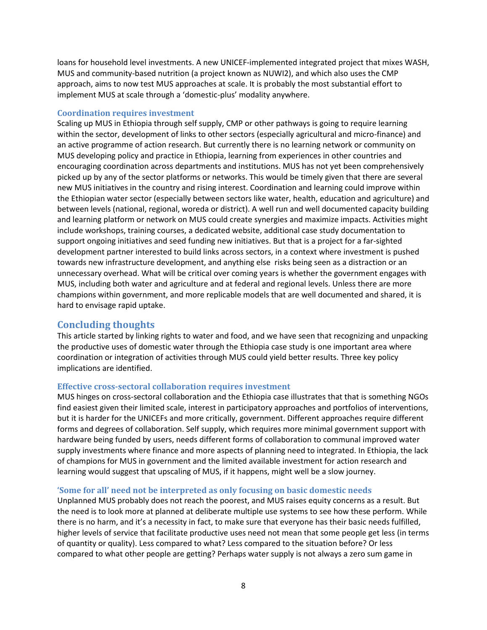loans for household level investments. A new UNICEF-implemented integrated project that mixes WASH, MUS and community-based nutrition (a project known as NUWI2), and which also uses the CMP approach, aims to now test MUS approaches at scale. It is probably the most substantial effort to implement MUS at scale through a 'domestic-plus' modality anywhere.

#### **Coordination requires investment**

Scaling up MUS in Ethiopia through self supply, CMP or other pathways is going to require learning within the sector, development of links to other sectors (especially agricultural and micro-finance) and an active programme of action research. But currently there is no learning network or community on MUS developing policy and practice in Ethiopia, learning from experiences in other countries and encouraging coordination across departments and institutions. MUS has not yet been comprehensively picked up by any of the sector platforms or networks. This would be timely given that there are several new MUS initiatives in the country and rising interest. Coordination and learning could improve within the Ethiopian water sector (especially between sectors like water, health, education and agriculture) and between levels (national, regional, woreda or district). A well run and well documented capacity building and learning platform or network on MUS could create synergies and maximize impacts. Activities might include workshops, training courses, a dedicated website, additional case study documentation to support ongoing initiatives and seed funding new initiatives. But that is a project for a far-sighted development partner interested to build links across sectors, in a context where investment is pushed towards new infrastructure development, and anything else risks being seen as a distraction or an unnecessary overhead. What will be critical over coming years is whether the government engages with MUS, including both water and agriculture and at federal and regional levels. Unless there are more champions within government, and more replicable models that are well documented and shared, it is hard to envisage rapid uptake.

## **Concluding thoughts**

This article started by linking rights to water and food, and we have seen that recognizing and unpacking the productive uses of domestic water through the Ethiopia case study is one important area where coordination or integration of activities through MUS could yield better results. Three key policy implications are identified.

#### **Effective cross-sectoral collaboration requires investment**

MUS hinges on cross-sectoral collaboration and the Ethiopia case illustrates that that is something NGOs find easiest given their limited scale, interest in participatory approaches and portfolios of interventions, but it is harder for the UNICEFs and more critically, government. Different approaches require different forms and degrees of collaboration. Self supply, which requires more minimal government support with hardware being funded by users, needs different forms of collaboration to communal improved water supply investments where finance and more aspects of planning need to integrated. In Ethiopia, the lack of champions for MUS in government and the limited available investment for action research and learning would suggest that upscaling of MUS, if it happens, might well be a slow journey.

#### **'Some for all' need not be interpreted as only focusing on basic domestic needs**

Unplanned MUS probably does not reach the poorest, and MUS raises equity concerns as a result. But the need is to look more at planned at deliberate multiple use systems to see how these perform. While there is no harm, and it's a necessity in fact, to make sure that everyone has their basic needs fulfilled, higher levels of service that facilitate productive uses need not mean that some people get less (in terms of quantity or quality). Less compared to what? Less compared to the situation before? Or less compared to what other people are getting? Perhaps water supply is not always a zero sum game in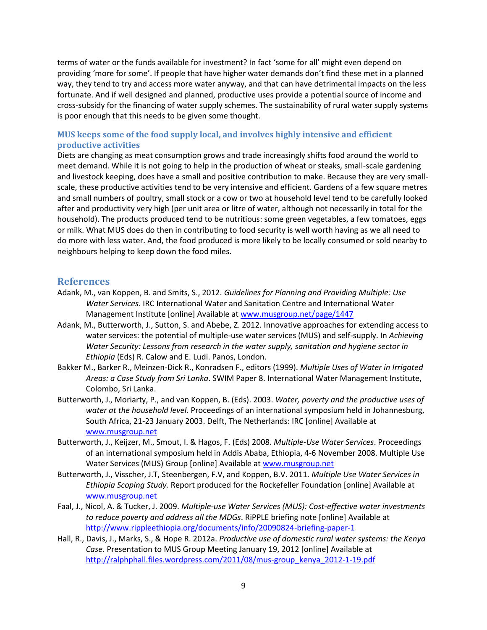terms of water or the funds available for investment? In fact 'some for all' might even depend on providing 'more for some'. If people that have higher water demands don't find these met in a planned way, they tend to try and access more water anyway, and that can have detrimental impacts on the less fortunate. And if well designed and planned, productive uses provide a potential source of income and cross-subsidy for the financing of water supply schemes. The sustainability of rural water supply systems is poor enough that this needs to be given some thought.

#### **MUS keeps some of the food supply local, and involves highly intensive and efficient productive activities**

Diets are changing as meat consumption grows and trade increasingly shifts food around the world to meet demand. While it is not going to help in the production of wheat or steaks, small-scale gardening and livestock keeping, does have a small and positive contribution to make. Because they are very smallscale, these productive activities tend to be very intensive and efficient. Gardens of a few square metres and small numbers of poultry, small stock or a cow or two at household level tend to be carefully looked after and productivity very high (per unit area or litre of water, although not necessarily in total for the household). The products produced tend to be nutritious: some green vegetables, a few tomatoes, eggs or milk. What MUS does do then in contributing to food security is well worth having as we all need to do more with less water. And, the food produced is more likely to be locally consumed or sold nearby to neighbours helping to keep down the food miles.

#### **References**

- Adank, M., van Koppen, B. and Smits, S., 2012. *Guidelines for Planning and Providing Multiple: Use Water Services*. IRC International Water and Sanitation Centre and International Water Management Institute [online] Available a[t www.musgroup.net/page/1447](http://www.musgroup.net/page/1447)
- Adank, M., Butterworth, J., Sutton, S. and Abebe, Z. 2012. Innovative approaches for extending access to water services: the potential of multiple-use water services (MUS) and self-supply. In *Achieving Water Security: Lessons from research in the water supply, sanitation and hygiene sector in Ethiopia* (Eds) R. Calow and E. Ludi. Panos, London.
- Bakker M., Barker R., Meinzen-Dick R., Konradsen F., editors (1999). *Multiple Uses of Water in Irrigated Areas: a Case Study from Sri Lanka*. SWIM Paper 8. International Water Management Institute, Colombo, Sri Lanka.
- Butterworth, J., Moriarty, P., and van Koppen, B. (Eds). 2003. *Water, poverty and the productive uses of water at the household level.* Proceedings of an international symposium held in Johannesburg, South Africa, 21-23 January 2003. Delft, The Netherlands: IRC [online] Available at [www.musgroup.net](http://www.musgroup.net/)
- Butterworth, J., Keijzer, M., Smout, I. & Hagos, F. (Eds) 2008. *Multiple-Use Water Services*. Proceedings of an international symposium held in Addis Ababa, Ethiopia, 4-6 November 2008. Multiple Use Water Services (MUS) Group [online] Available at [www.musgroup.net](http://www.musgroup.net/)
- Butterworth, J., Visscher, J.T, Steenbergen, F.V, and Koppen, B.V. 2011. *Multiple Use Water Services in Ethiopia Scoping Study.* Report produced for the Rockefeller Foundation [online] Available at [www.musgroup.net](http://www.musgroup.net/)
- Faal, J., Nicol, A. & Tucker, J. 2009. *Multiple-use Water Services (MUS): Cost-effective water investments to reduce poverty and address all the MDGs*. RiPPLE briefing note [online] Available at <http://www.rippleethiopia.org/documents/info/20090824-briefing-paper-1>
- Hall, R., Davis, J., Marks, S., & Hope R. 2012a. *Productive use of domestic rural water systems: the Kenya Case.* Presentation to MUS Group Meeting January 19, 2012 [online] Available at [http://ralphphall.files.wordpress.com/2011/08/mus-group\\_kenya\\_2012-1-19.pdf](http://ralphphall.files.wordpress.com/2011/08/mus-group_kenya_2012-1-19.pdf)